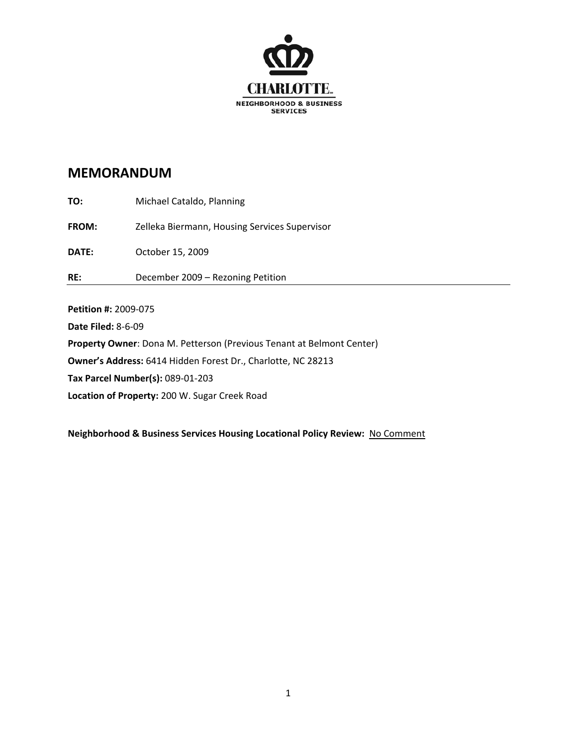

| TO:          | Michael Cataldo, Planning                     |
|--------------|-----------------------------------------------|
| <b>FROM:</b> | Zelleka Biermann, Housing Services Supervisor |
| DATE:        | October 15, 2009                              |
| RE:          | December 2009 - Rezoning Petition             |

**Petition #:** 2009‐075

**Date Filed:** 8‐6‐09

**Property Owner**: Dona M. Petterson (Previous Tenant at Belmont Center)

**Owner's Address:** 6414 Hidden Forest Dr., Charlotte, NC 28213

**Tax Parcel Number(s):** 089‐01‐203

**Location of Property:** 200 W. Sugar Creek Road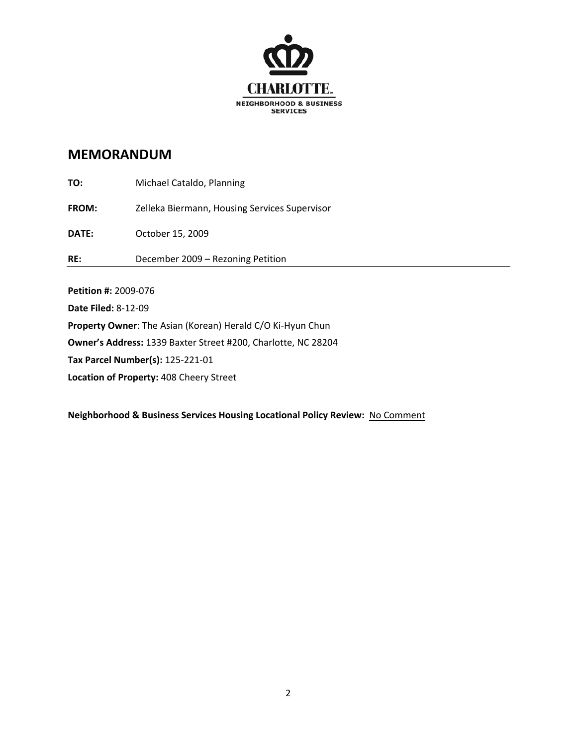

| RE:          | December 2009 - Rezoning Petition             |
|--------------|-----------------------------------------------|
| <b>DATE:</b> | October 15, 2009                              |
| <b>FROM:</b> | Zelleka Biermann, Housing Services Supervisor |
| TO:          | Michael Cataldo, Planning                     |

**Petition #:** 2009‐076 **Date Filed:** 8‐12‐09 **Property Owner**: The Asian (Korean) Herald C/O Ki‐Hyun Chun **Owner's Address:** 1339 Baxter Street #200, Charlotte, NC 28204 **Tax Parcel Number(s):** 125‐221‐01 **Location of Property:** 408 Cheery Street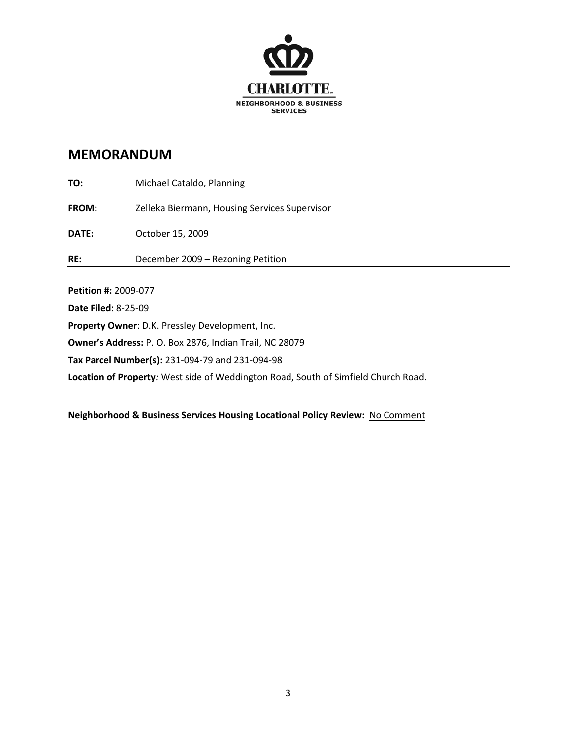

| <b>Datition 4. 3000 077</b> |                                               |
|-----------------------------|-----------------------------------------------|
| RE:                         | December 2009 - Rezoning Petition             |
| <b>DATE:</b>                | October 15, 2009                              |
| <b>FROM:</b>                | Zelleka Biermann, Housing Services Supervisor |
| TO:                         | Michael Cataldo, Planning                     |

**Petition #:** 2009‐077 **Date Filed:** 8‐25‐09 **Property Owner**: D.K. Pressley Development, Inc. **Owner's Address:** P. O. Box 2876, Indian Trail, NC 28079 **Tax Parcel Number(s):** 231‐094‐79 and 231‐094‐98 **Location of Property***:* West side of Weddington Road, South of Simfield Church Road.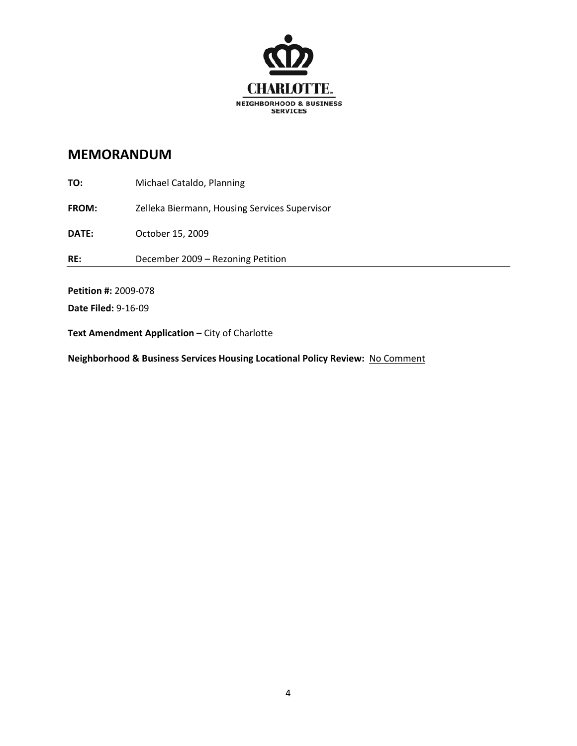

**TO:** Michael Cataldo, Planning **FROM:** Zelleka Biermann, Housing Services Supervisor **DATE:** October 15, 2009 **RE:**  December 2009 – Rezoning Petition **Petition #:** 2009‐078 **Date Filed:** 9‐16‐09

**Text Amendment Application –** City of Charlotte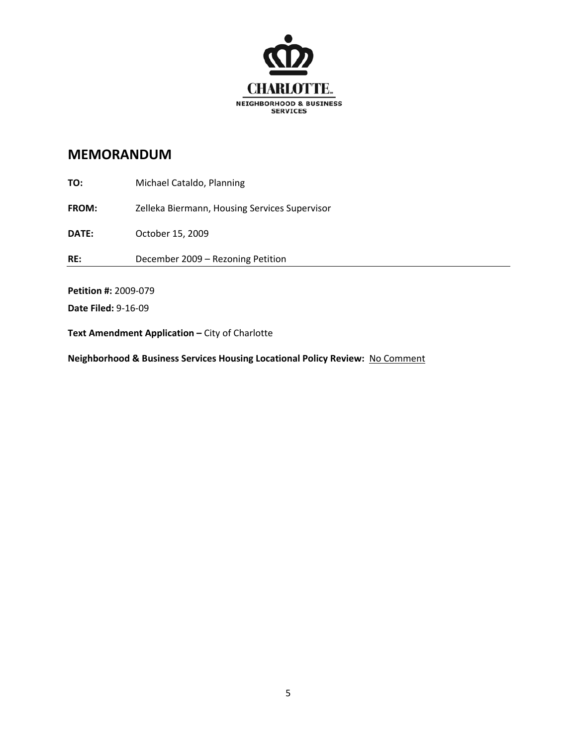

**TO:** Michael Cataldo, Planning **FROM:** Zelleka Biermann, Housing Services Supervisor **DATE:** October 15, 2009 **RE:**  December 2009 – Rezoning Petition **Petition #:** 2009‐079 **Date Filed:** 9‐16‐09

**Text Amendment Application –** City of Charlotte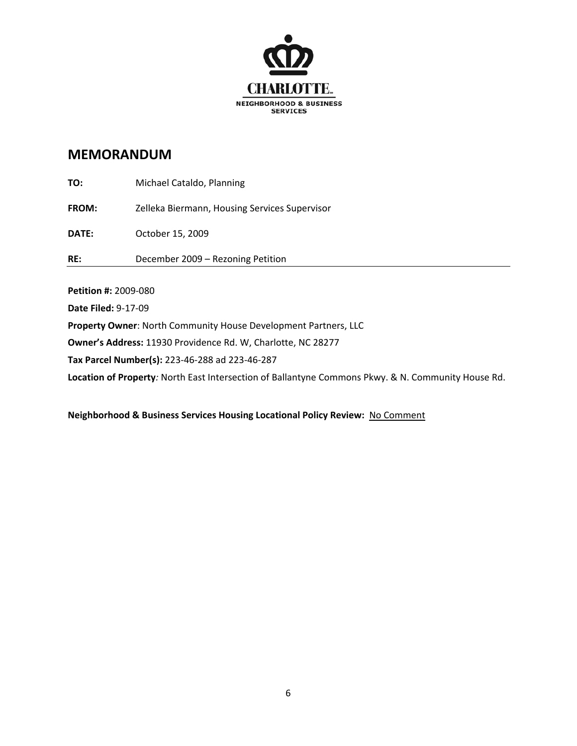

| Duanautu Ouman Nauth Campanultu Hause Dauglangeaut Dautnaus II C |                                               |
|------------------------------------------------------------------|-----------------------------------------------|
| Date Filed: 9-17-09                                              |                                               |
| Petition #: 2009-080                                             |                                               |
|                                                                  | December 2009 - Rezoning Petition             |
| RE:                                                              |                                               |
| <b>DATE:</b>                                                     | October 15, 2009                              |
| <b>FROM:</b>                                                     | Zelleka Biermann, Housing Services Supervisor |
| TO:                                                              | Michael Cataldo, Planning                     |

**Property Owner**: North Community House Development Partners, LLC

**Owner's Address:** 11930 Providence Rd. W, Charlotte, NC 28277

**Tax Parcel Number(s):** 223‐46‐288 ad 223‐46‐287

**Location of Property***:* North East Intersection of Ballantyne Commons Pkwy. & N. Community House Rd.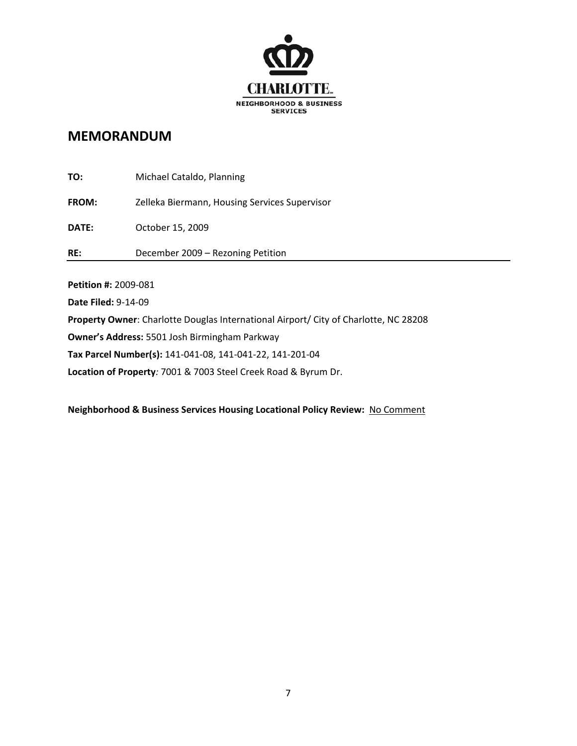

| TO:                                                                                  | Michael Cataldo, Planning                     |
|--------------------------------------------------------------------------------------|-----------------------------------------------|
| <b>FROM:</b>                                                                         | Zelleka Biermann, Housing Services Supervisor |
| <b>DATE:</b>                                                                         | October 15, 2009                              |
| RE:                                                                                  | December 2009 - Rezoning Petition             |
|                                                                                      |                                               |
| Petition #: 2009-081                                                                 |                                               |
| Date Filed: 9-14-09                                                                  |                                               |
| Property Owner: Charlotte Douglas International Airport/ City of Charlotte, NC 28208 |                                               |
| Owner's Address: 5501 Josh Birmingham Parkway                                        |                                               |
| Tax Parcel Number(s): 141-041-08, 141-041-22, 141-201-04                             |                                               |

**Location of Property***:* 7001 & 7003 Steel Creek Road & Byrum Dr.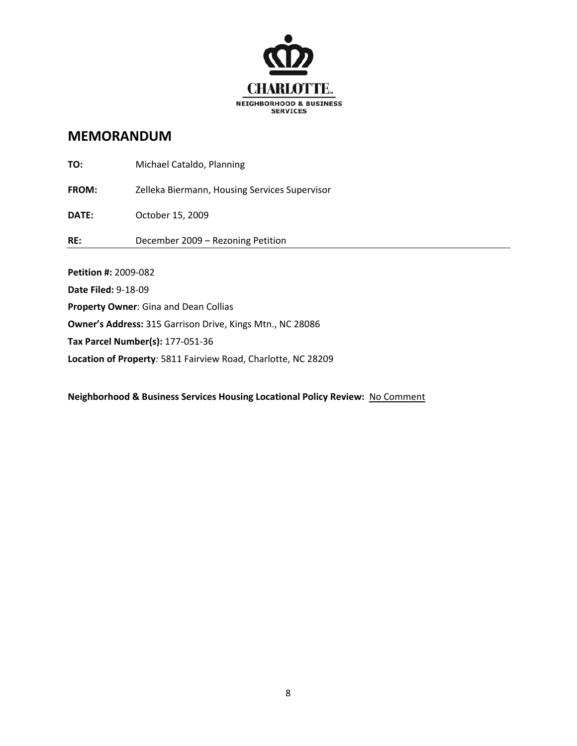

| <b>Petition #: 2009-082</b> |                                               |
|-----------------------------|-----------------------------------------------|
| RE:                         | December 2009 - Rezoning Petition             |
| <b>DATE:</b>                | October 15, 2009                              |
| <b>FROM:</b>                | Zelleka Biermann, Housing Services Supervisor |
| TO:                         | Michael Cataldo, Planning                     |

**Date Filed:** 9‐18‐09 **Property Owner**: Gina and Dean Collias **Owner's Address:** 315 Garrison Drive, Kings Mtn., NC 28086 **Tax Parcel Number(s):** 177‐051‐36 **Location of Property***:* 5811 Fairview Road, Charlotte, NC 28209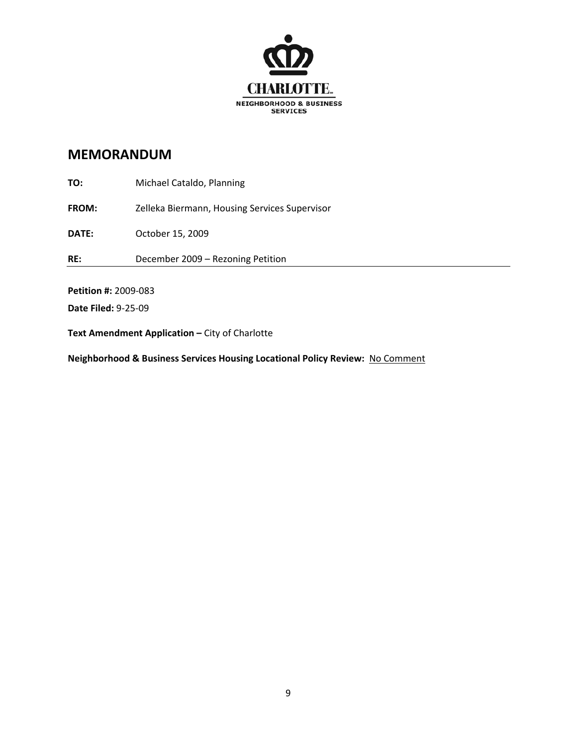

**TO:** Michael Cataldo, Planning **FROM:** Zelleka Biermann, Housing Services Supervisor **DATE:** October 15, 2009 **RE:**  December 2009 – Rezoning Petition **Petition #:** 2009‐083 **Date Filed:** 9‐25‐09

**Text Amendment Application –** City of Charlotte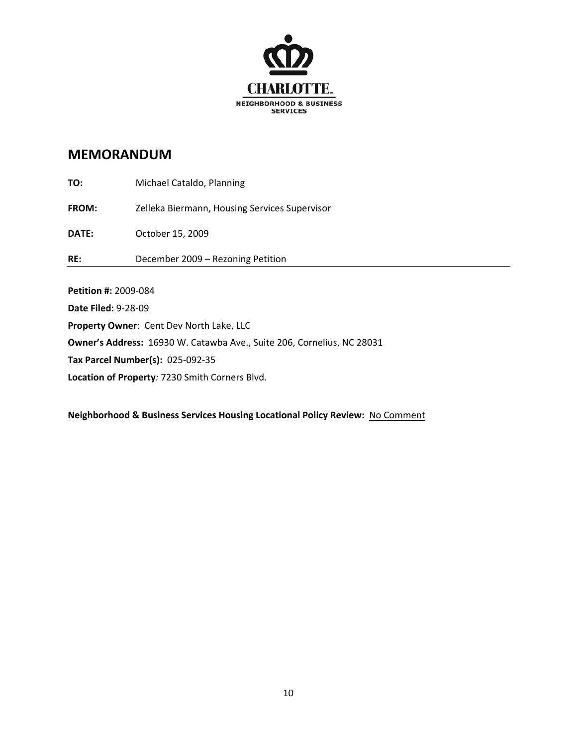

| <b>Date Filed: 9-28-09</b>  |                                               |
|-----------------------------|-----------------------------------------------|
| <b>Petition #: 2009-084</b> |                                               |
| RE:                         | December 2009 - Rezoning Petition             |
| DATE:                       | October 15, 2009                              |
| <b>FROM:</b>                | Zelleka Biermann, Housing Services Supervisor |
| TO:                         | Michael Cataldo, Planning                     |

**Property Owner**: Cent Dev North Lake, LLC

**Owner's Address:** 16930 W. Catawba Ave., Suite 206, Cornelius, NC 28031

**Tax Parcel Number(s):** 025‐092‐35

**Location of Property***:* 7230 Smith Corners Blvd.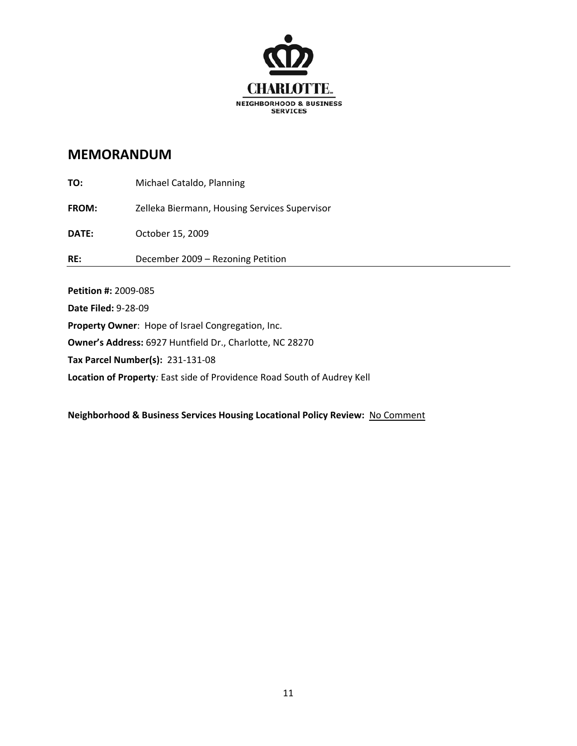

| Petition #: 2009-085 |                                               |
|----------------------|-----------------------------------------------|
| RE:                  | December 2009 - Rezoning Petition             |
| <b>DATE:</b>         | October 15, 2009                              |
| <b>FROM:</b>         | Zelleka Biermann, Housing Services Supervisor |
| TO:                  | Michael Cataldo, Planning                     |

**Date Filed:** 9‐28‐09

**Property Owner**: Hope of Israel Congregation, Inc.

**Owner's Address:** 6927 Huntfield Dr., Charlotte, NC 28270

**Tax Parcel Number(s):** 231‐131‐08

**Location of Property***:* East side of Providence Road South of Audrey Kell